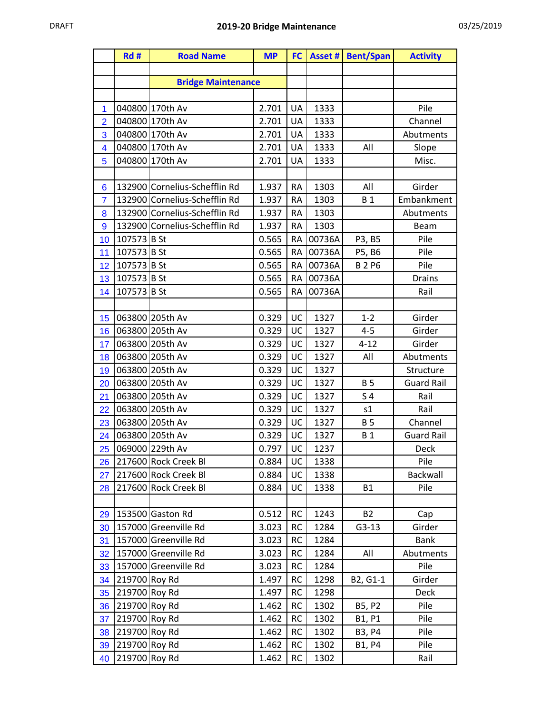|                 | Rd#           | <b>Road Name</b>              | <b>MP</b> | <b>FC</b> |        | <b>Asset # Bent/Span</b> | <b>Activity</b>   |
|-----------------|---------------|-------------------------------|-----------|-----------|--------|--------------------------|-------------------|
|                 |               |                               |           |           |        |                          |                   |
|                 |               | <b>Bridge Maintenance</b>     |           |           |        |                          |                   |
|                 |               |                               |           |           |        |                          |                   |
| 1               |               | 040800 170th Av               | 2.701     | UA        | 1333   |                          | Pile              |
| $\overline{2}$  |               | 040800 170th Av               | 2.701     | UA        | 1333   |                          | Channel           |
| 3               |               | 040800 170th Av               | 2.701     | UA        | 1333   |                          | Abutments         |
| 4               |               | 040800 170th Av               | 2.701     | UA        | 1333   | All                      | Slope             |
| 5               |               | 040800 170th Av               | 2.701     | UA        | 1333   |                          | Misc.             |
|                 |               |                               |           |           |        |                          |                   |
| $6\phantom{1}6$ |               | 132900 Cornelius-Schefflin Rd | 1.937     | <b>RA</b> | 1303   | All                      | Girder            |
| $\overline{7}$  |               | 132900 Cornelius-Schefflin Rd | 1.937     | <b>RA</b> | 1303   | <b>B1</b>                | Embankment        |
| 8               |               | 132900 Cornelius-Schefflin Rd | 1.937     | <b>RA</b> | 1303   |                          | Abutments         |
| $\overline{9}$  |               | 132900 Cornelius-Schefflin Rd | 1.937     | <b>RA</b> | 1303   |                          | <b>Beam</b>       |
| 10              | 107573 B St   |                               | 0.565     | <b>RA</b> | 00736A | P3, B5                   | Pile              |
| 11              | 107573 B St   |                               | 0.565     | <b>RA</b> | 00736A | P5, B6                   | Pile              |
| 12              | 107573 B St   |                               | 0.565     | <b>RA</b> | 00736A | <b>B2P6</b>              | Pile              |
| 13              | 107573 B St   |                               | 0.565     | <b>RA</b> | 00736A |                          | <b>Drains</b>     |
| 14              | 107573 B St   |                               | 0.565     | <b>RA</b> | 00736A |                          | Rail              |
|                 |               |                               |           |           |        |                          |                   |
| 15              |               | 063800 205th Av               | 0.329     | UC        | 1327   | $1 - 2$                  | Girder            |
| 16              |               | 063800 205th Av               | 0.329     | UC        | 1327   | $4 - 5$                  | Girder            |
| 17              |               | 063800 205th Av               | 0.329     | UC        | 1327   | $4 - 12$                 | Girder            |
| 18              |               | 063800 205th Av               | 0.329     | UC        | 1327   | All                      | Abutments         |
| 19              |               | 063800 205th Av               | 0.329     | UC        | 1327   |                          | Structure         |
| 20              |               | 063800 205th Av               | 0.329     | UC        | 1327   | <b>B5</b>                | <b>Guard Rail</b> |
| 21              |               | 063800 205th Av               | 0.329     | UC        | 1327   | S <sub>4</sub>           | Rail              |
| 22              |               | 063800 205th Av               | 0.329     | UC        | 1327   | s1                       | Rail              |
| 23              |               | 063800 205th Av               | 0.329     | UC        | 1327   | <b>B5</b>                | Channel           |
| 24              |               | 063800 205th Av               | 0.329     | UC        | 1327   | <b>B1</b>                | <b>Guard Rail</b> |
| 25              |               | 069000 229th Av               | 0.797     | UC        | 1237   |                          | Deck              |
| 26              |               | 217600 Rock Creek Bl          | 0.884     | UC        | 1338   |                          | Pile              |
| 27              |               | 217600 Rock Creek Bl          | 0.884     | UC        | 1338   |                          | Backwall          |
| 28              |               | 217600 Rock Creek Bl          | 0.884     | UC        | 1338   | <b>B1</b>                | Pile              |
|                 |               |                               |           |           |        |                          |                   |
| 29              |               | 153500 Gaston Rd              | 0.512     | <b>RC</b> | 1243   | <b>B2</b>                | Cap               |
| 30              |               | 157000 Greenville Rd          | 3.023     | <b>RC</b> | 1284   | $G3-13$                  | Girder            |
| 31              |               | 157000 Greenville Rd          | 3.023     | <b>RC</b> | 1284   |                          | Bank              |
| 32              |               | 157000 Greenville Rd          | 3.023     | <b>RC</b> | 1284   | All                      | Abutments         |
| 33              |               | 157000 Greenville Rd          | 3.023     | <b>RC</b> | 1284   |                          | Pile              |
| 34              | 219700 Roy Rd |                               | 1.497     | <b>RC</b> | 1298   | B2, G1-1                 | Girder            |
| 35              | 219700 Roy Rd |                               | 1.497     | <b>RC</b> | 1298   |                          | Deck              |
| 36              | 219700 Roy Rd |                               | 1.462     | <b>RC</b> | 1302   | B5, P2                   | Pile              |
| 37              | 219700 Roy Rd |                               | 1.462     | <b>RC</b> | 1302   | B1, P1                   | Pile              |
| 38              | 219700 Roy Rd |                               | 1.462     | <b>RC</b> | 1302   | B3, P4                   | Pile              |
| 39              | 219700 Roy Rd |                               | 1.462     | <b>RC</b> | 1302   | B1, P4                   | Pile              |
| 40              | 219700 Roy Rd |                               | 1.462     | <b>RC</b> | 1302   |                          | Rail              |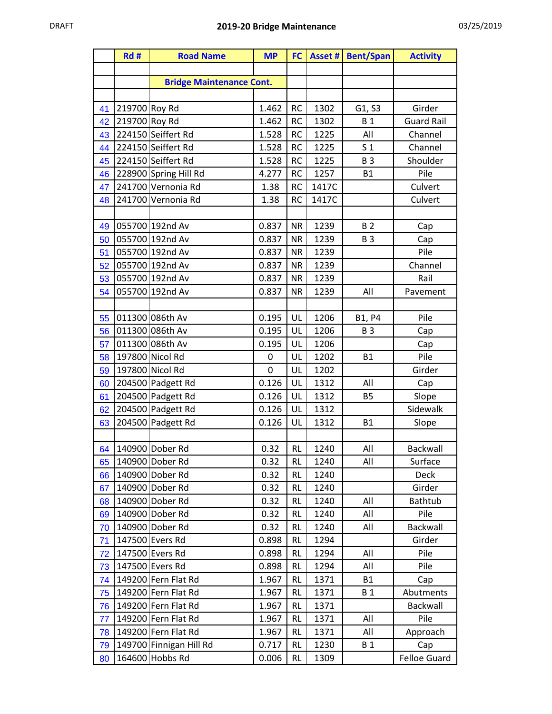|          | Rd#           | <b>Road Name</b>                       | <b>MP</b>      | FC            |              | <b>Asset # Bent/Span</b> | <b>Activity</b>     |
|----------|---------------|----------------------------------------|----------------|---------------|--------------|--------------------------|---------------------|
|          |               |                                        |                |               |              |                          |                     |
|          |               | <b>Bridge Maintenance Cont.</b>        |                |               |              |                          |                     |
|          |               |                                        |                |               |              |                          |                     |
| 41       | 219700 Roy Rd |                                        | 1.462          | <b>RC</b>     | 1302         | G1, S3                   | Girder              |
| 42       | 219700 Roy Rd |                                        | 1.462          | <b>RC</b>     | 1302         | <b>B1</b>                | <b>Guard Rail</b>   |
| 43       |               | 224150 Seiffert Rd                     | 1.528          | <b>RC</b>     | 1225         | All                      | Channel             |
| 44       |               | 224150 Seiffert Rd                     | 1.528          | <b>RC</b>     | 1225         | S <sub>1</sub>           | Channel             |
| 45       |               | 224150 Seiffert Rd                     | 1.528          | <b>RC</b>     | 1225         | <b>B3</b>                | Shoulder            |
| 46       |               | 228900 Spring Hill Rd                  | 4.277          | <b>RC</b>     | 1257         | <b>B1</b>                | Pile                |
| 47       |               | 241700 Vernonia Rd                     | 1.38           | <b>RC</b>     | 1417C        |                          | Culvert             |
| 48       |               | 241700 Vernonia Rd                     | 1.38           | <b>RC</b>     | 1417C        |                          | Culvert             |
|          |               |                                        |                |               |              |                          |                     |
| 49       |               | 055700 192nd Av                        | 0.837          | <b>NR</b>     | 1239         | <b>B2</b>                | Cap                 |
| 50       |               | 055700 192nd Av                        | 0.837          | <b>NR</b>     | 1239         | <b>B3</b>                | Cap                 |
| 51       |               | 055700 192nd Av                        | 0.837          | <b>NR</b>     | 1239         |                          | Pile                |
| 52       |               | 055700 192nd Av                        | 0.837          | <b>NR</b>     | 1239         |                          | Channel             |
| 53       |               | 055700 192nd Av                        | 0.837          | <b>NR</b>     | 1239         |                          | Rail                |
| 54       |               | 055700 192nd Av                        | 0.837          | <b>NR</b>     | 1239         | All                      | Pavement            |
|          |               |                                        |                |               |              |                          |                     |
| 55       |               | 011300 086th Av                        | 0.195          | UL            | 1206         | <b>B1, P4</b>            | Pile                |
| 56       |               | 011300 086th Av                        | 0.195          | UL            | 1206         | <b>B3</b>                | Cap                 |
| 57       |               | 011300 086th Av                        | 0.195          | UL            | 1206         |                          | Cap                 |
| 58       |               | 197800 Nicol Rd                        | 0              | UL            | 1202         | <b>B1</b>                | Pile                |
| 59       |               | 197800 Nicol Rd                        | $\mathbf 0$    | UL            | 1202         |                          | Girder              |
| 60       |               | 204500 Padgett Rd<br>204500 Padgett Rd | 0.126<br>0.126 | UL<br>UL      | 1312<br>1312 | All<br><b>B5</b>         | Cap                 |
| 61<br>62 |               | 204500 Padgett Rd                      | 0.126          | UL            | 1312         |                          | Slope<br>Sidewalk   |
| 63       |               | 204500 Padgett Rd                      | 0.126          | UL            | 1312         | <b>B1</b>                | Slope               |
|          |               |                                        |                |               |              |                          |                     |
|          |               | 64 140900 Dober Rd                     | 0.32           | <b>RL</b>     | 1240         | All                      | Backwall            |
| 65       |               | 140900 Dober Rd                        | 0.32           | <b>RL</b>     | 1240         | All                      | Surface             |
| 66       |               | 140900 Dober Rd                        | 0.32           | RL            | 1240         |                          | Deck                |
| 67       |               | 140900 Dober Rd                        | 0.32           | <b>RL</b>     | 1240         |                          | Girder              |
| 68       |               | 140900 Dober Rd                        | 0.32           | <b>RL</b>     | 1240         | All                      | Bathtub             |
| 69       |               | 140900 Dober Rd                        | 0.32           | RL            | 1240         | All                      | Pile                |
| 70       |               | 140900 Dober Rd                        | 0.32           | <b>RL</b>     | 1240         | All                      | Backwall            |
| 71       |               | 147500 Evers Rd                        | 0.898          | RL            | 1294         |                          | Girder              |
| 72       |               | 147500 Evers Rd                        | 0.898          | <b>RL</b>     | 1294         | All                      | Pile                |
| 73       |               | 147500 Evers Rd                        | 0.898          | RL            | 1294         | All                      | Pile                |
| 74       |               | 149200 Fern Flat Rd                    | 1.967          | RL            | 1371         | <b>B1</b>                | Cap                 |
| 75       |               | 149200 Fern Flat Rd                    | 1.967          | RL            | 1371         | <b>B1</b>                | Abutments           |
| 76       |               | 149200 Fern Flat Rd                    | 1.967          | RL            | 1371         |                          | Backwall            |
| 77       |               | 149200 Fern Flat Rd                    | 1.967          | <b>RL</b>     | 1371         | All                      | Pile                |
| 78       |               | 149200 Fern Flat Rd                    | 1.967          | $\mathsf{RL}$ | 1371         | All                      | Approach            |
| 79       |               | 149700 Finnigan Hill Rd                | 0.717          | RL            | 1230         | <b>B</b> 1               | Cap                 |
| 80       |               | 164600 Hobbs Rd                        | 0.006          | <b>RL</b>     | 1309         |                          | <b>Felloe Guard</b> |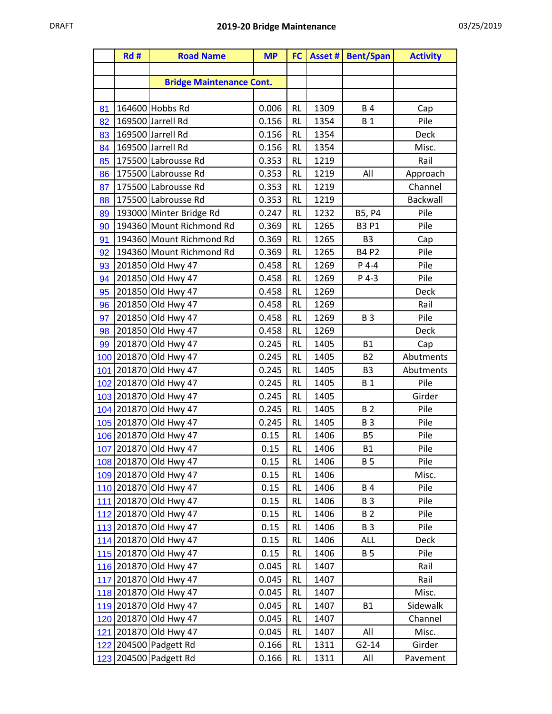|     | Rd# | <b>Road Name</b>                               | <b>MP</b>      |                        |              | <b>FC</b>   Asset #   Bent/Span | <b>Activity</b> |
|-----|-----|------------------------------------------------|----------------|------------------------|--------------|---------------------------------|-----------------|
|     |     |                                                |                |                        |              |                                 |                 |
|     |     | <b>Bridge Maintenance Cont.</b>                |                |                        |              |                                 |                 |
|     |     |                                                |                |                        |              |                                 |                 |
| 81  |     | 164600 Hobbs Rd                                | 0.006          | <b>RL</b>              | 1309         | <b>B4</b>                       | Cap             |
| 82  |     | 169500 Jarrell Rd                              | 0.156          | <b>RL</b>              | 1354         | <b>B1</b>                       | Pile            |
| 83  |     | 169500 Jarrell Rd                              | 0.156          | <b>RL</b>              | 1354         |                                 | Deck            |
| 84  |     | 169500 Jarrell Rd                              | 0.156          | <b>RL</b>              | 1354         |                                 | Misc.           |
| 85  |     | 175500 Labrousse Rd                            | 0.353          | <b>RL</b>              | 1219         |                                 | Rail            |
| 86  |     | 175500 Labrousse Rd                            | 0.353          | <b>RL</b>              | 1219         | All                             | Approach        |
| 87  |     | 175500 Labrousse Rd                            | 0.353          | <b>RL</b>              | 1219         |                                 | Channel         |
| 88  |     | 175500 Labrousse Rd                            | 0.353          | <b>RL</b>              | 1219         |                                 | Backwall        |
| 89  |     | 193000 Minter Bridge Rd                        | 0.247          | <b>RL</b>              | 1232         | B5, P4                          | Pile            |
| 90  |     | 194360 Mount Richmond Rd                       | 0.369          | <b>RL</b>              | 1265         | <b>B3 P1</b>                    | Pile            |
| 91  |     | 194360 Mount Richmond Rd                       | 0.369          | <b>RL</b>              | 1265         | B <sub>3</sub>                  | Cap             |
| 92  |     | 194360 Mount Richmond Rd                       | 0.369          | <b>RL</b>              | 1265         | <b>B4 P2</b>                    | Pile            |
| 93  |     | 201850 Old Hwy 47                              | 0.458          | <b>RL</b>              | 1269         | $P$ 4-4                         | Pile            |
| 94  |     | 201850 Old Hwy 47                              | 0.458          | <b>RL</b>              | 1269         | P 4-3                           | Pile            |
| 95  |     | 201850 Old Hwy 47                              | 0.458          | <b>RL</b>              | 1269         |                                 | Deck            |
| 96  |     | 201850 Old Hwy 47                              | 0.458          | <b>RL</b>              | 1269         |                                 | Rail            |
| 97  |     | 201850 Old Hwy 47                              | 0.458          | <b>RL</b>              | 1269         | <b>B3</b>                       | Pile            |
| 98  |     | 201850 Old Hwy 47                              | 0.458          | <b>RL</b>              | 1269         |                                 | <b>Deck</b>     |
| 99  |     | 201870 Old Hwy 47                              | 0.245          | <b>RL</b>              | 1405         | <b>B1</b>                       | Cap             |
|     |     | 100 201870 Old Hwy 47                          | 0.245          | <b>RL</b>              | 1405         | <b>B2</b>                       | Abutments       |
|     |     | 101 201870 Old Hwy 47                          | 0.245          | <b>RL</b>              | 1405         | B <sub>3</sub>                  | Abutments       |
|     |     | 102 201870 Old Hwy 47<br>103 201870 Old Hwy 47 | 0.245<br>0.245 | <b>RL</b><br><b>RL</b> | 1405<br>1405 | <b>B1</b>                       | Pile<br>Girder  |
|     |     | 104 201870 Old Hwy 47                          | 0.245          | <b>RL</b>              | 1405         | B <sub>2</sub>                  | Pile            |
|     |     | 105 201870 Old Hwy 47                          | 0.245          | <b>RL</b>              | 1405         | <b>B3</b>                       | Pile            |
|     |     | 106 201870 Old Hwy 47                          | 0.15           | <b>RL</b>              | 1406         | <b>B5</b>                       | Pile            |
|     |     | 107 201870 Old Hwy 47                          | 0.15           | <b>RL</b>              | 1406         | <b>B1</b>                       | Pile            |
|     |     | 108 201870 Old Hwy 47                          | 0.15           | <b>RL</b>              | 1406         | <b>B</b> 5                      | Pile            |
|     |     | 109 201870 Old Hwy 47                          | 0.15           | RL                     | 1406         |                                 | Misc.           |
|     |     | 110 201870 Old Hwy 47                          | 0.15           | <b>RL</b>              | 1406         | <b>B4</b>                       | Pile            |
|     |     | 111 201870 Old Hwy 47                          | 0.15           | <b>RL</b>              | 1406         | <b>B3</b>                       | Pile            |
|     |     | 112 201870 Old Hwy 47                          | 0.15           | RL                     | 1406         | <b>B2</b>                       | Pile            |
|     |     | 113 201870 Old Hwy 47                          | 0.15           | <b>RL</b>              | 1406         | <b>B3</b>                       | Pile            |
|     |     | 114 201870 Old Hwy 47                          | 0.15           | <b>RL</b>              | 1406         | <b>ALL</b>                      | <b>Deck</b>     |
|     |     | 115 201870 Old Hwy 47                          | 0.15           | <b>RL</b>              | 1406         | <b>B5</b>                       | Pile            |
|     |     | 116 201870 Old Hwy 47                          | 0.045          | <b>RL</b>              | 1407         |                                 | Rail            |
|     |     | 117 201870 Old Hwy 47                          | 0.045          | <b>RL</b>              | 1407         |                                 | Rail            |
|     |     | 118 201870 Old Hwy 47                          | 0.045          | <b>RL</b>              | 1407         |                                 | Misc.           |
|     |     | 119 201870 Old Hwy 47                          | 0.045          | <b>RL</b>              | 1407         | <b>B1</b>                       | Sidewalk        |
|     |     | 120 201870 Old Hwy 47                          | 0.045          | <b>RL</b>              | 1407         |                                 | Channel         |
|     |     | 121 201870 Old Hwy 47                          | 0.045          | RL                     | 1407         | All                             | Misc.           |
|     |     | 122 204500 Padgett Rd                          | 0.166          | RL                     | 1311         | $G2-14$                         | Girder          |
| 123 |     | 204500 Padgett Rd                              | 0.166          | RL                     | 1311         | All                             | Pavement        |